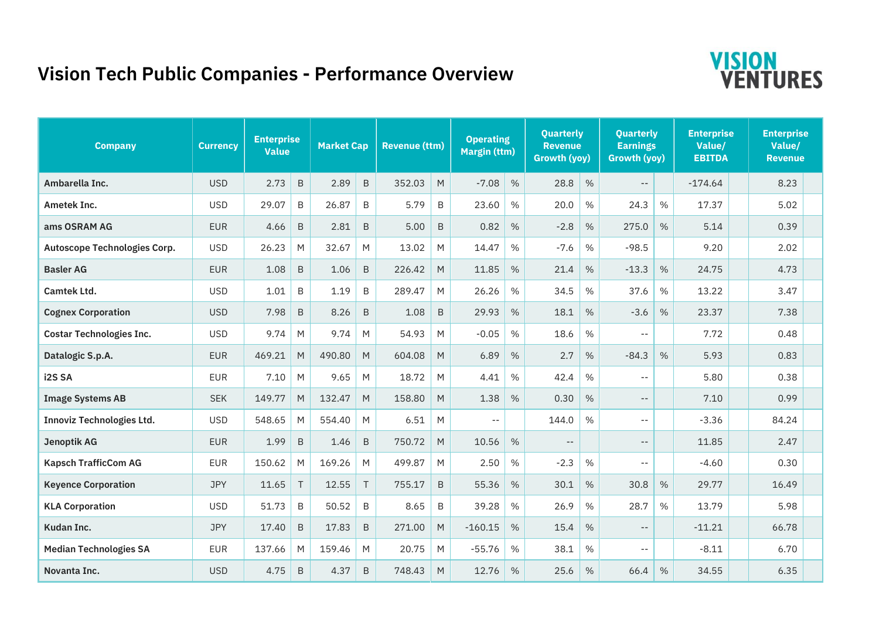## **Vision Tech Public Companies - Performance Overview**



| <b>Company</b>                   | <b>Currency</b> | <b>Enterprise</b><br><b>Value</b> |              | <b>Market Cap</b> |             | <b>Revenue (ttm)</b> |           | <b>Operating</b><br><b>Margin (ttm)</b> |               | <b>Quarterly</b><br><b>Revenue</b><br><b>Growth (yoy)</b> |      | <b>Quarterly</b><br><b>Earnings</b><br><b>Growth (yoy)</b> |      | <b>Enterprise</b><br>Value/<br><b>EBITDA</b> |  | <b>Enterprise</b><br>Value/<br><b>Revenue</b> |  |
|----------------------------------|-----------------|-----------------------------------|--------------|-------------------|-------------|----------------------|-----------|-----------------------------------------|---------------|-----------------------------------------------------------|------|------------------------------------------------------------|------|----------------------------------------------|--|-----------------------------------------------|--|
| Ambarella Inc.                   | <b>USD</b>      | 2.73                              | $\, {\sf B}$ | 2.89              | $\,$ B      | 352.03               | M         | $-7.08$                                 | $\%$          | 28.8                                                      | $\%$ | $\overline{\phantom{a}}$ .                                 |      | $-174.64$                                    |  | 8.23                                          |  |
| Ametek Inc.                      | <b>USD</b>      | 29.07                             | B            | 26.87             | B           | 5.79                 | B         | 23.60                                   | $\%$          | 20.0                                                      | %    | 24.3                                                       | %    | 17.37                                        |  | 5.02                                          |  |
| ams OSRAM AG                     | <b>EUR</b>      | 4.66                              | B            | 2.81              | B           | 5.00                 | B         | 0.82                                    | %             | $-2.8$                                                    | %    | 275.0                                                      | $\%$ | 5.14                                         |  | 0.39                                          |  |
| Autoscope Technologies Corp.     | <b>USD</b>      | 26.23                             | M            | 32.67             | M           | 13.02                | M         | 14.47                                   | $\%$          | $-7.6$                                                    | %    | $-98.5$                                                    |      | 9.20                                         |  | 2.02                                          |  |
| <b>Basler AG</b>                 | <b>EUR</b>      | 1.08                              | $\mathsf B$  | 1.06              | $\,$ B      | 226.42               | M         | 11.85                                   | $\%$          | 21.4                                                      | %    | $-13.3$                                                    | %    | 24.75                                        |  | 4.73                                          |  |
| <b>Camtek Ltd.</b>               | <b>USD</b>      | 1.01                              | B            | 1.19              | B           | 289.47               | M         | 26.26                                   | $\%$          | 34.5                                                      | %    | 37.6                                                       | %    | 13.22                                        |  | 3.47                                          |  |
| <b>Cognex Corporation</b>        | <b>USD</b>      | 7.98                              | $\mathsf B$  | 8.26              | $\,$ B      | 1.08                 | B         | 29.93                                   | %             | 18.1                                                      | $\%$ | $-3.6$                                                     | $\%$ | 23.37                                        |  | 7.38                                          |  |
| <b>Costar Technologies Inc.</b>  | <b>USD</b>      | 9.74                              | M            | 9.74              | M           | 54.93                | M         | $-0.05$                                 | $\%$          | 18.6                                                      | %    | $\sim$ $-$                                                 |      | 7.72                                         |  | 0.48                                          |  |
| Datalogic S.p.A.                 | <b>EUR</b>      | 469.21                            | M            | 490.80            | M           | 604.08               | M         | 6.89                                    | %             | 2.7                                                       | %    | $-84.3$                                                    | $\%$ | 5.93                                         |  | 0.83                                          |  |
| i2S <sub>SA</sub>                | <b>EUR</b>      | 7.10                              | M            | 9.65              | M           | 18.72                | M         | 4.41                                    | $\frac{0}{0}$ | 42.4                                                      | $\%$ | $-1$                                                       |      | 5.80                                         |  | 0.38                                          |  |
| <b>Image Systems AB</b>          | <b>SEK</b>      | 149.77                            | M            | 132.47            | M           | 158.80               | M         | 1.38                                    | %             | 0.30                                                      | $\%$ | $- -$                                                      |      | 7.10                                         |  | 0.99                                          |  |
| <b>Innoviz Technologies Ltd.</b> | <b>USD</b>      | 548.65                            | M            | 554.40            | M           | 6.51                 | M         | $- -$                                   |               | 144.0                                                     | $\%$ | $- -$                                                      |      | $-3.36$                                      |  | 84.24                                         |  |
| <b>Jenoptik AG</b>               | <b>EUR</b>      | 1.99                              | $\sf B$      | 1.46              | $\,$ B      | 750.72               | M         | 10.56                                   | %             | $-$                                                       |      | $- -$                                                      |      | 11.85                                        |  | 2.47                                          |  |
| <b>Kapsch TrafficCom AG</b>      | <b>EUR</b>      | 150.62                            | M            | 169.26            | M           | 499.87               | M         | 2.50                                    | $\%$          | $-2.3$                                                    | %    | $- -$                                                      |      | $-4.60$                                      |  | 0.30                                          |  |
| <b>Keyence Corporation</b>       | <b>JPY</b>      | 11.65                             | $\top$       | 12.55             | $\top$      | 755.17               | B         | 55.36                                   | %             | 30.1                                                      | %    | 30.8                                                       | $\%$ | 29.77                                        |  | 16.49                                         |  |
| <b>KLA Corporation</b>           | <b>USD</b>      | 51.73                             | B            | 50.52             | B           | 8.65                 | B         | 39.28                                   | $\%$          | 26.9                                                      | $\%$ | 28.7                                                       | %    | 13.79                                        |  | 5.98                                          |  |
| Kudan Inc.                       | <b>JPY</b>      | 17.40                             | $\sf B$      | 17.83             | $\mathsf B$ | 271.00               | M         | $-160.15$                               | %             | 15.4                                                      | %    | $- -$                                                      |      | $-11.21$                                     |  | 66.78                                         |  |
| <b>Median Technologies SA</b>    | <b>EUR</b>      | 137.66                            | M            | 159.46            | M           | 20.75                | M         | $-55.76$                                | $\%$          | 38.1                                                      | %    | $- -$                                                      |      | $-8.11$                                      |  | 6.70                                          |  |
| Novanta Inc.                     | <b>USD</b>      | 4.75                              | B            | 4.37              | $\mathsf B$ | 748.43               | ${\sf M}$ | 12.76                                   | %             | 25.6                                                      | %    | 66.4                                                       | $\%$ | 34.55                                        |  | 6.35                                          |  |